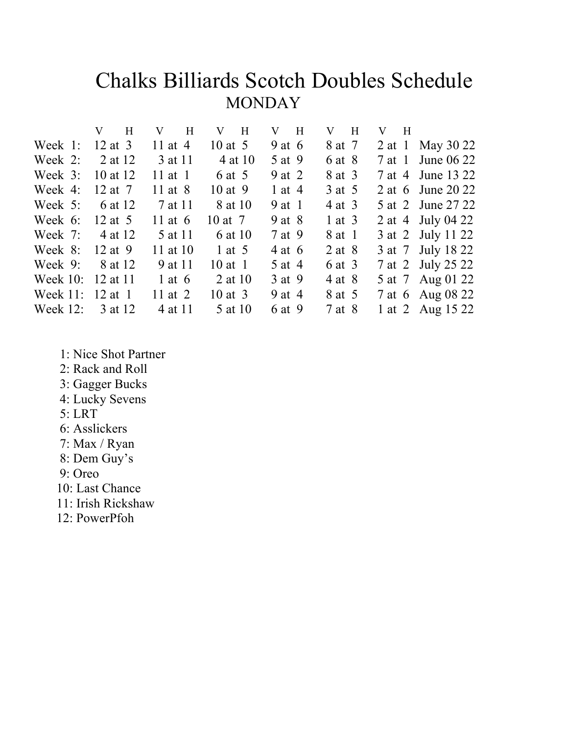### Chalks Billiards Scotch Doubles ScheduleMONDAY

| $V$ H             |           | $V$ H     | $V$ H       | $V$ H      | $V$ H      | $V$ H             |
|-------------------|-----------|-----------|-------------|------------|------------|-------------------|
| Week 1: $12$ at 3 |           | 11 at $4$ | 10 at $5$   | 9 at $6$   | 8 at 7     | 2 at 1 May 30 22  |
| Week 2: $2$ at 12 |           | 3 at 11   | 4 at 10     | 5 at 9     | 6 at 8     | 7 at 1 June 06 22 |
| Week 3: 10 at 12  |           | 11 at $1$ | 6 at 5      | 9 at 2     | 8 at 3     | 7 at 4 June 13 22 |
| Week 4:           | 12 at $7$ | 11 at $8$ | $10$ at 9   | 1 at 4     | 3 at 5     | 2 at 6 June 20 22 |
| Week $5$ :        | 6 at 12   | 7 at 11   | 8 at 10     | $9$ at 1   | 4 at 3     | 5 at 2 June 27 22 |
| Week $6$ :        | 12 at $5$ | 11 at $6$ | 10 at 7     | $9$ at $8$ | $1$ at $3$ | 2 at 4 July 04 22 |
| Week $7: 4$ at 12 |           | 5 at 11   | 6 at 10     | 7 at 9     | 8 at 1     | 3 at 2 July 11 22 |
| Week 8:           | 12 at 9   | 11 at 10  | 1 at $5$    | $4$ at 6   | $2$ at $8$ | 3 at 7 July 18 22 |
| Week $9$ :        | 8 at 12   | 9 at 11   | $10$ at 1   | 5 at 4     | 6 at 3     | 7 at 2 July 25 22 |
| Week 10: 12 at 11 |           | 1 at $6$  | 2 at 10     | 3 at 9     | 4 at 8     | 5 at 7 Aug 01 22  |
| Week 11: 12 at 1  |           | 11 at $2$ | $10$ at $3$ | 9 at 4     | 8 at 5     | 7 at 6 Aug 08 22  |
| Week $12$ :       | 3 at 12   | 4 at 11   | 5 at 10     | 6 at 9     | 7 at 8     | 1 at 2 Aug 15 22  |
|                   |           |           |             |            |            |                   |

- 1: Nice Shot Partner
- 2: Rack and Roll
- 3: Gagger Bucks
- 4: Lucky Sevens
- 5: LRT
- 6: Asslickers
- 7: Max / Ryan
- 8: Dem Guy's
- 9: Oreo
- 10: Last Chance
- 11: Irish Rickshaw
- 12: PowerPfoh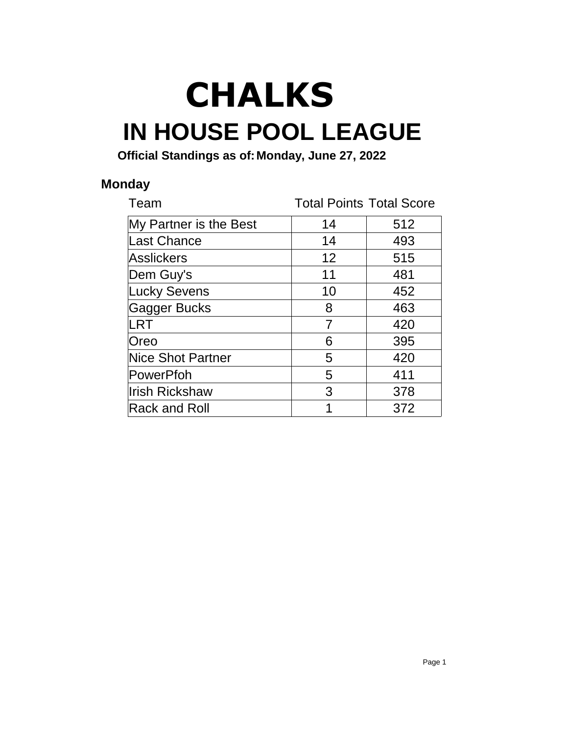# **IN HOUSE POOL LEAGUE CHALKS**

**Official Standings as of:Monday, June 27, 2022**

#### **Monday**

| Team                     | <b>Total Points Total Score</b> |     |
|--------------------------|---------------------------------|-----|
| My Partner is the Best   | 14                              | 512 |
| Last Chance              | 14                              | 493 |
| Asslickers               | 12                              | 515 |
| Dem Guy's                | 11                              | 481 |
| <b>Lucky Sevens</b>      | 10                              | 452 |
| Gagger Bucks             | 8                               | 463 |
| <b>LRT</b>               | 7                               | 420 |
| Oreo                     | 6                               | 395 |
| <b>Nice Shot Partner</b> | 5                               | 420 |
| PowerPfoh                | 5                               | 411 |
| <b>Irish Rickshaw</b>    | 3                               | 378 |
| Rack and Roll            |                                 | 372 |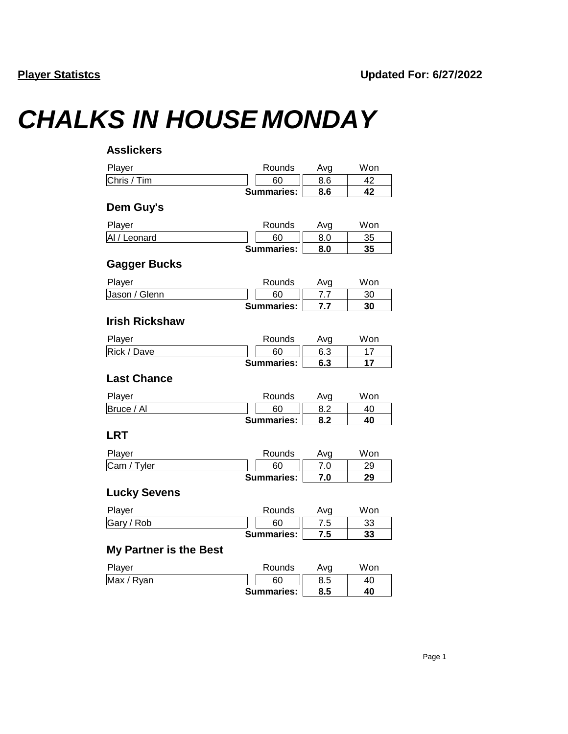## *CHALKS IN HOUSE MONDAY*

| <b>Asslickers</b>             |                   |     |     |
|-------------------------------|-------------------|-----|-----|
| Player                        | Rounds            | Avg | Won |
| Chris / Tim                   | 60                | 8.6 | 42  |
|                               | <b>Summaries:</b> | 8.6 | 42  |
| Dem Guy's                     |                   |     |     |
| Player                        | Rounds            | Avg | Won |
| Al / Leonard                  | 60                | 8.0 | 35  |
|                               | <b>Summaries:</b> | 8.0 | 35  |
| <b>Gagger Bucks</b>           |                   |     |     |
| Player                        | Rounds            | Avg | Won |
| Jason / Glenn                 | 60                | 7.7 | 30  |
|                               | <b>Summaries:</b> | 7.7 | 30  |
| <b>Irish Rickshaw</b>         |                   |     |     |
| Player                        | Rounds            | Avg | Won |
| Rick / Dave                   | 60                | 6.3 | 17  |
|                               | <b>Summaries:</b> | 6.3 | 17  |
| <b>Last Chance</b>            |                   |     |     |
| Player                        | Rounds            | Avg | Won |
| Bruce / Al                    | 60                | 8.2 | 40  |
|                               | <b>Summaries:</b> | 8.2 | 40  |
| <b>LRT</b>                    |                   |     |     |
| Player                        | Rounds            | Avg | Won |
| Cam / Tyler                   | 60                | 7.0 | 29  |
|                               | <b>Summaries:</b> | 7.0 | 29  |
| <b>Lucky Sevens</b>           |                   |     |     |
| Player                        | Rounds            | Avg | Won |
| Gary / Rob                    | 60                | 7.5 | 33  |
|                               | Summaries:        | 7.5 | 33  |
| <b>My Partner is the Best</b> |                   |     |     |
| Player                        | Rounds            | Avg | Won |
| Max / Ryan                    | 60                | 8.5 | 40  |
|                               | <b>Summaries:</b> | 8.5 | 40  |